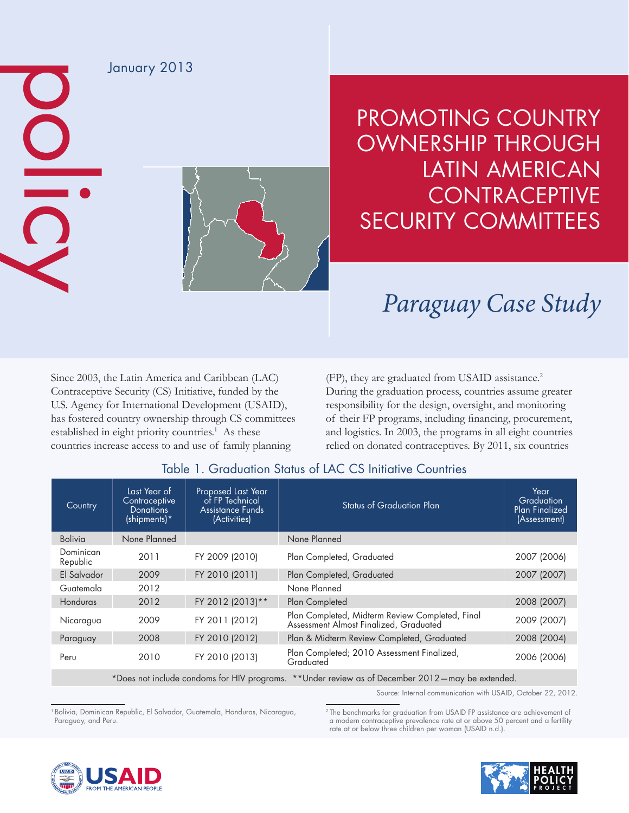

## PROMOTING COUNTRY OWNERSHIP THROUGH LATIN AMERICAN **CONTRACEPTIVE** SECURITY COMMITTEES

## *Paraguay Case Study*

Since 2003, the Latin America and Caribbean (LAC) Contraceptive Security (CS) Initiative, funded by the U.S. Agency for International Development (USAID), has fostered country ownership through CS committees established in eight priority countries.<sup>1</sup> As these countries increase access to and use of family planning

(FP), they are graduated from USAID assistance.<sup>2</sup> During the graduation process, countries assume greater responsibility for the design, oversight, and monitoring of their FP programs, including financing, procurement, and logistics. In 2003, the programs in all eight countries relied on donated contraceptives. By 2011, six countries

| Country                                                                                         | Last Year of<br>Contraceptive<br><b>Donations</b><br>$(\text{shipments})^*$ | <b>Proposed Last Year</b><br>of FP Technical<br><b>Assistance Funds</b><br>(Activities) | <b>Status of Graduation Plan</b>                                                          | Year<br>Graduation<br><b>Plan Finalized</b><br>(Assessment) |
|-------------------------------------------------------------------------------------------------|-----------------------------------------------------------------------------|-----------------------------------------------------------------------------------------|-------------------------------------------------------------------------------------------|-------------------------------------------------------------|
| <b>Bolivia</b>                                                                                  | None Planned                                                                |                                                                                         | None Planned                                                                              |                                                             |
| Dominican<br>Republic                                                                           | 2011                                                                        | FY 2009 (2010)                                                                          | Plan Completed, Graduated                                                                 | 2007 (2006)                                                 |
| El Salvador                                                                                     | 2009                                                                        | FY 2010 (2011)                                                                          | Plan Completed, Graduated                                                                 | 2007 (2007)                                                 |
| Guatemala                                                                                       | 2012                                                                        |                                                                                         | None Planned                                                                              |                                                             |
| Honduras                                                                                        | 2012                                                                        | FY 2012 (2013)**                                                                        | Plan Completed                                                                            | 2008 (2007)                                                 |
| Nicaragua                                                                                       | 2009                                                                        | FY 2011 (2012)                                                                          | Plan Completed, Midterm Review Completed, Final<br>Assessment Almost Finalized, Graduated | 2009 (2007)                                                 |
| Paraguay                                                                                        | 2008                                                                        | FY 2010 (2012)                                                                          | Plan & Midterm Review Completed, Graduated                                                | 2008 (2004)                                                 |
| Peru                                                                                            | 2010                                                                        | FY 2010 (2013)                                                                          | Plan Completed; 2010 Assessment Finalized,<br>Graduated                                   | 2006 (2006)                                                 |
| *Does not include condoms for HIV programs. **Under review as of December 2012—may be extended. |                                                                             |                                                                                         |                                                                                           |                                                             |

## Table 1. Graduation Status of LAC CS Initiative Countries

Source: Internal communication with USAID, October 22, 2012.

<sup>1</sup> Bolivia, Dominican Republic, El Salvador, Guatemala, Honduras, Nicaragua, Paraguay, and Peru.

2 The benchmarks for graduation from USAID FP assistance are achievement of a modern contraceptive prevalence rate at or above 50 percent and a fertility rate at or below three children per woman (USAID n.d.)